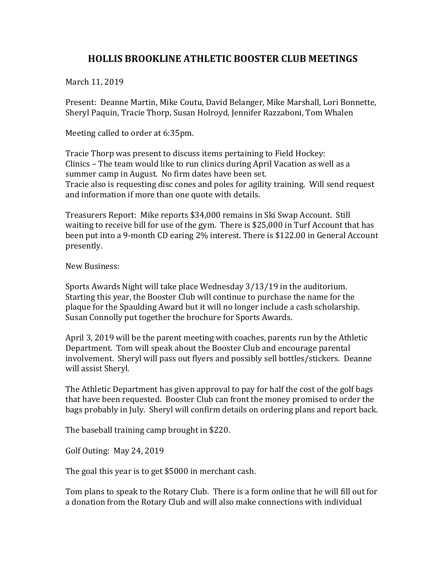## **HOLLIS BROOKLINE ATHLETIC BOOSTER CLUB MEETINGS**

March 11, 2019

Present: Deanne Martin, Mike Coutu, David Belanger, Mike Marshall, Lori Bonnette, Sheryl Paquin, Tracie Thorp, Susan Holroyd, Jennifer Razzaboni, Tom Whalen

Meeting called to order at 6:35pm.

Tracie Thorp was present to discuss items pertaining to Field Hockey: Clinics – The team would like to run clinics during April Vacation as well as a summer camp in August. No firm dates have been set. Tracie also is requesting disc cones and poles for agility training. Will send request and information if more than one quote with details.

Treasurers Report: Mike reports \$34,000 remains in Ski Swap Account. Still waiting to receive bill for use of the gym. There is  $$25,000$  in Turf Account that has been put into a 9-month CD earing 2% interest. There is \$122.00 in General Account presently.

New Business:

Sports Awards Night will take place Wednesday  $3/13/19$  in the auditorium. Starting this year, the Booster Club will continue to purchase the name for the plaque for the Spaulding Award but it will no longer include a cash scholarship. Susan Connolly put together the brochure for Sports Awards.

April 3, 2019 will be the parent meeting with coaches, parents run by the Athletic Department. Tom will speak about the Booster Club and encourage parental involvement. Sheryl will pass out flyers and possibly sell bottles/stickers. Deanne will assist Sheryl.

The Athletic Department has given approval to pay for half the cost of the golf bags that have been requested. Booster Club can front the money promised to order the bags probably in July. Sheryl will confirm details on ordering plans and report back.

The baseball training camp brought in \$220.

Golf Outing: May 24, 2019

The goal this year is to get \$5000 in merchant cash.

Tom plans to speak to the Rotary Club. There is a form online that he will fill out for a donation from the Rotary Club and will also make connections with individual